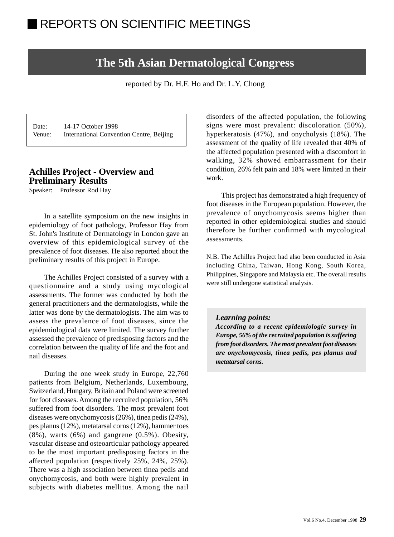# **The 5th Asian Dermatological Congress**

reported by Dr. H.F. Ho and Dr. L.Y. Chong

Date: 14-17 October 1998 Venue: International Convention Centre, Beijing

# **Achilles Project - Overview and Preliminary Results**

Speaker: Professor Rod Hay

In a satellite symposium on the new insights in epidemiology of foot pathology, Professor Hay from St. John's Institute of Dermatology in London gave an overview of this epidemiological survey of the prevalence of foot diseases. He also reported about the preliminary results of this project in Europe.

The Achilles Project consisted of a survey with a questionnaire and a study using mycological assessments. The former was conducted by both the general practitioners and the dermatologists, while the latter was done by the dermatologists. The aim was to assess the prevalence of foot diseases, since the epidemiological data were limited. The survey further assessed the prevalence of predisposing factors and the correlation between the quality of life and the foot and nail diseases.

During the one week study in Europe, 22,760 patients from Belgium, Netherlands, Luxembourg, Switzerland, Hungary, Britain and Poland were screened for foot diseases. Among the recruited population, 56% suffered from foot disorders. The most prevalent foot diseases were onychomycosis (26%), tinea pedis (24%), pes planus (12%), metatarsal corns (12%), hammer toes  $(8\%)$ , warts  $(6\%)$  and gangrene  $(0.5\%)$ . Obesity, vascular disease and osteoarticular pathology appeared to be the most important predisposing factors in the affected population (respectively 25%, 24%, 25%). There was a high association between tinea pedis and onychomycosis, and both were highly prevalent in subjects with diabetes mellitus. Among the nail

disorders of the affected population, the following signs were most prevalent: discoloration (50%), hyperkeratosis (47%), and onycholysis (18%). The assessment of the quality of life revealed that 40% of the affected population presented with a discomfort in walking, 32% showed embarrassment for their condition, 26% felt pain and 18% were limited in their work.

This project has demonstrated a high frequency of foot diseases in the European population. However, the prevalence of onychomycosis seems higher than reported in other epidemiological studies and should therefore be further confirmed with mycological assessments.

N.B. The Achilles Project had also been conducted in Asia including China, Taiwan, Hong Kong, South Korea, Philippines, Singapore and Malaysia etc. The overall results were still undergone statistical analysis.

### *Learning points:*

*According to a recent epidemiologic survey in Europe, 56% of the recruited population is suffering from foot disorders. The most prevalent foot diseases are onychomycosis, tinea pedis, pes planus and metatarsal corns.*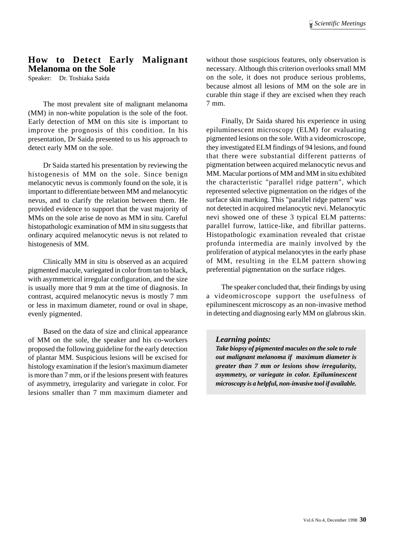# **How to Detect Early Malignant Melanoma on the Sole**

Speaker: Dr. Toshiaka Saida

The most prevalent site of malignant melanoma (MM) in non-white population is the sole of the foot. Early detection of MM on this site is important to improve the prognosis of this condition. In his presentation, Dr Saida presented to us his approach to detect early MM on the sole.

Dr Saida started his presentation by reviewing the histogenesis of MM on the sole. Since benign melanocytic nevus is commonly found on the sole, it is important to differentiate between MM and melanocytic nevus, and to clarify the relation between them. He provided evidence to support that the vast majority of MMs on the sole arise de novo as MM in situ. Careful histopathologic examination of MM in situ suggests that ordinary acquired melanocytic nevus is not related to histogenesis of MM.

Clinically MM in situ is observed as an acquired pigmented macule, variegated in color from tan to black, with asymmetrical irregular configuration, and the size is usually more that 9 mm at the time of diagnosis. In contrast, acquired melanocytic nevus is mostly 7 mm or less in maximum diameter, round or oval in shape, evenly pigmented.

Based on the data of size and clinical appearance of MM on the sole, the speaker and his co-workers proposed the following guideline for the early detection of plantar MM. Suspicious lesions will be excised for histology examination if the lesion's maximum diameter is more than 7 mm, or if the lesions present with features of asymmetry, irregularity and variegate in color. For lesions smaller than 7 mm maximum diameter and without those suspicious features, only observation is necessary. Although this criterion overlooks small MM on the sole, it does not produce serious problems, because almost all lesions of MM on the sole are in curable thin stage if they are excised when they reach 7 mm.

Finally, Dr Saida shared his experience in using epiluminescent microscopy (ELM) for evaluating pigmented lesions on the sole. With a videomicroscope, they investigated ELM findings of 94 lesions, and found that there were substantial different patterns of pigmentation between acquired melanocytic nevus and MM. Macular portions of MM and MM in situ exhibited the characteristic "parallel ridge pattern", which represented selective pigmentation on the ridges of the surface skin marking. This "parallel ridge pattern" was not detected in acquired melanocytic nevi. Melanocytic nevi showed one of these 3 typical ELM patterns: parallel furrow, lattice-like, and fibrillar patterns. Histopathologic examination revealed that cristae profunda intermedia are mainly involved by the proliferation of atypical melanocytes in the early phase of MM, resulting in the ELM pattern showing preferential pigmentation on the surface ridges.

The speaker concluded that, their findings by using a videomicroscope support the usefulness of epiluminescent microscopy as an non-invasive method in detecting and diagnosing early MM on glabrous skin.

#### *Learning points:*

*Take biopsy of pigmented macules on the sole to rule out malignant melanoma if maximum diameter is greater than 7 mm or lesions show irregularity, asymmetry, or variegate in color. Epiluminescent microscopy is a helpful, non-invasive tool if available.*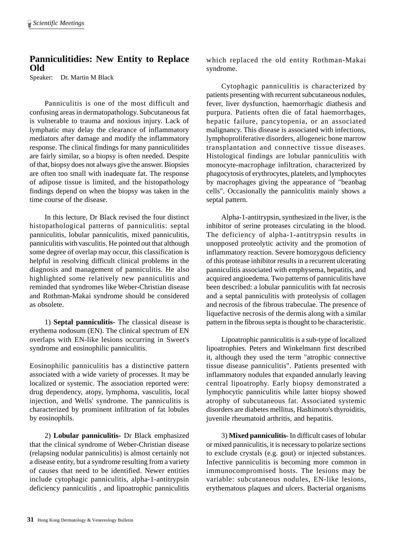# **Panniculitidies: New Entity to Replace Old**

Speaker: Dr. Martin M Black

Panniculitis is one of the most difficult and confusing areas in dermatopathology. Subcutaneous fat is vulnerable to trauma and noxious injury. Lack of lymphatic may delay the clearance of inflammatory mediators after damage and modify the inflammatory response. The clinical findings for many panniculitides are fairly similar, so a biopsy is often needed. Despite of that, biopsy does not always give the answer. Biopsies are often too small with inadequate fat. The response of adipose tissue is limited, and the histopathology findings depend on when the biopsy was taken in the time course of the disease.

In this lecture, Dr Black revised the four distinct histopathological patterns of panniculitis: septal panniculitis, lobular panniculitis, mixed panniculitis, panniculitis with vasculitis. He pointed out that although some degree of overlap may occur, this classification is helpful in resolving difficult clinical problems in the diagnosis and management of panniculitis. He also highlighted some relatively new panniculitis and reminded that syndromes like Weber-Christian disease and Rothman-Makai syndrome should be considered as obsolete.

1) **Septal panniculitis-** The classical disease is erythema nodosum (EN). The clinical spectrum of EN overlaps with EN-like lesions occurring in Sweet's syndrome and eosinophilic panniculitis.

Eosinophilic panniculitis has a distinctive pattern associated with a wide variety of processes. It may be localized or systemic. The association reported were: drug dependency, atopy, lymphoma, vasculitis, local injection, and Wells' syndrome. The panniculitis is characterized by prominent infiltration of fat lobules by eosinophils.

2) **Lobular panniculitis-** Dr Black emphasized that the clinical syndrome of Weber-Christian disease (relapsing nodular panniculitis) is almost certainly not a disease entity, but a syndrome resulting from a variety of causes that need to be identified. Newer entities include cytophagic panniculitis, alpha-1-antitrypsin deficiency panniculitis , and lipoatrophic panniculitis which replaced the old entity Rothman-Makai syndrome.

Cytophagic panniculitis is characterized by patients presenting with recurrent subcutaneous nodules, fever, liver dysfunction, haemorrhagic diathesis and purpura. Patients often die of fatal haemorrhages, hepatic failure, pancytopenia, or an associated malignancy. This disease is associated with infections, lymphoproliferative disorders, allogeneic bone marrow transplantation and connective tissue diseases. Histological findings are lobular panniculitis with monocyte-macrophage infiltration, characterized by phagocytosis of erythrocytes, platelets, and lymphocytes by macrophages giving the appearance of "beanbag cells". Occasionally the panniculitis mainly shows a septal pattern.

Alpha-1-antitrypsin, synthesized in the liver, is the inhibitor of serine proteases circulating in the blood. The deficiency of alpha-1-antitrypsin results in unopposed proteolytic activity and the promotion of inflammatory reaction. Severe homozygous deficiency of this protease inhibitor results in a recurrent ulcerating panniculitis associated with emphysema, hepatitis, and acquired angioedema. Two patterns of panniculitis have been described: a lobular panniculitis with fat necrosis and a septal panniculitis with proteolysis of collagen and necrosis of the fibrous trabeculae. The presence of liquefactive necrosis of the dermis along with a similar pattern in the fibrous septa is thought to be characteristic.

Lipoatrophic panniculitis is a sub-type of localized lipoatrophies. Peters and Winkelmann first described it, although they used the term "atrophic connective tissue disease panniculitis". Patients presented with inflammatory nodules that expanded annularly leaving central lipoatrophy. Early biopsy demonstrated a lymphocytic panniculitis while latter biopsy showed atrophy of subcutaneous fat. Associated systemic disorders are diabetes mellitus, Hashimoto's thyroiditis, juvenile rheumatoid arthritis, and hepatitis.

3) **Mixed panniculitis-** In difficult cases of lobular or mixed panniculitis, it is necessary to polarize sections to exclude crystals (e.g. gout) or injected substances. Infective panniculitis is becoming more common in immunocompromised hosts. The lesions may be variable: subcutaneous nodules, EN-like lesions, erythematous plaques and ulcers. Bacterial organisms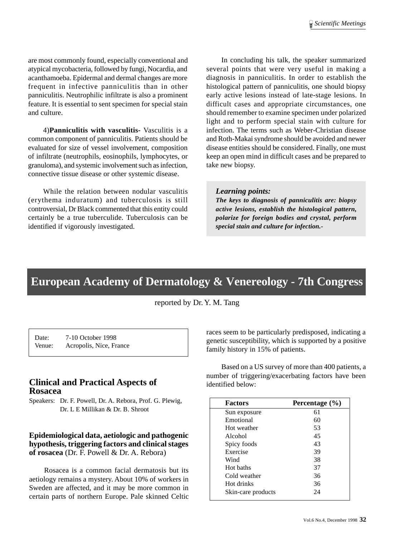are most commonly found, especially conventional and atypical mycobacteria, followed by fungi, Nocardia, and acanthamoeba. Epidermal and dermal changes are more frequent in infective panniculitis than in other panniculitis. Neutrophilic infiltrate is also a prominent feature. It is essential to sent specimen for special stain and culture.

4)**Panniculitis with vasculitis-** Vasculitis is a common component of panniculitis. Patients should be evaluated for size of vessel involvement, composition of infiltrate (neutrophils, eosinophils, lymphocytes, or granuloma), and systemic involvement such as infection, connective tissue disease or other systemic disease.

While the relation between nodular vasculitis (erythema induratum) and tuberculosis is still controversial, Dr Black commented that this entity could certainly be a true tuberculide. Tuberculosis can be identified if vigorously investigated.

In concluding his talk, the speaker summarized several points that were very useful in making a diagnosis in panniculitis. In order to establish the histological pattern of panniculitis, one should biopsy early active lesions instead of late-stage lesions. In difficult cases and appropriate circumstances, one should remember to examine specimen under polarized light and to perform special stain with culture for infection. The terms such as Weber-Christian disease and Roth-Makai syndrome should be avoided and newer disease entities should be considered. Finally, one must keep an open mind in difficult cases and be prepared to take new biopsy.

#### *Learning points:*

*The keys to diagnosis of panniculitis are: biopsy active lesions, establish the histological pattern, polarize for foreign bodies and crystal, perform special stain and culture for infection.-*

# **European Academy of Dermatology & Venereology - 7th Congress**

reported by Dr. Y. M. Tang

Date: 7-10 October 1998 Venue: Acropolis, Nice, France

# **Clinical and Practical Aspects of Rosacea**

Speakers: Dr. F. Powell, Dr. A. Rebora, Prof. G. Plewig, Dr. L E Millikan & Dr. B. Shroot

# **Epidemiological data, aetiologic and pathogenic hypothesis, triggering factors and clinical stages of rosacea** (Dr. F. Powell & Dr. A. Rebora)

Rosacea is a common facial dermatosis but its aetiology remains a mystery. About 10% of workers in Sweden are affected, and it may be more common in certain parts of northern Europe. Pale skinned Celtic

races seem to be particularly predisposed, indicating a genetic susceptibility, which is supported by a positive family history in 15% of patients.

Based on a US survey of more than 400 patients, a number of triggering/exacerbating factors have been identified below:

| <b>Factors</b>     | Percentage $(\% )$ |
|--------------------|--------------------|
| Sun exposure       | 61                 |
| Emotional          | 60                 |
| Hot weather        | 53                 |
| Alcohol            | 45                 |
| Spicy foods        | 43                 |
| Exercise           | 39                 |
| Wind               | 38                 |
| Hot baths          | 37                 |
| Cold weather       | 36                 |
| Hot drinks         | 36                 |
| Skin-care products | 24                 |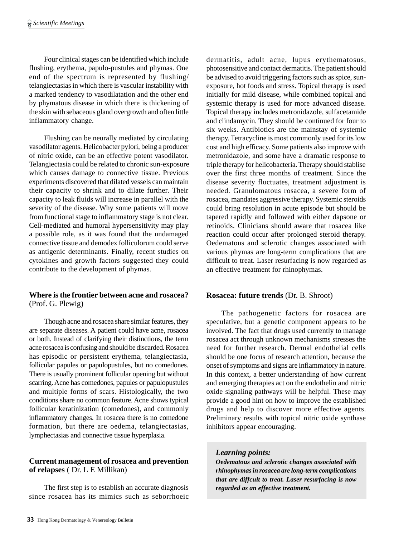Four clinical stages can be identified which include flushing, erythema, papulo-pustules and phymas. One end of the spectrum is represented by flushing/ telangiectasias in which there is vascular instability with a marked tendency to vasodilatation and the other end by phymatous disease in which there is thickening of the skin with sebaceous gland overgrowth and often little inflammatory change.

Flushing can be neurally mediated by circulating vasodilator agents. Helicobacter pylori, being a producer of nitric oxide, can be an effective potent vasodilator. Telangiectasia could be related to chronic sun-exposure which causes damage to connective tissue. Previous experiments discovered that dilated vessels can maintain their capacity to shrink and to dilate further. Their capacity to leak fluids will increase in parallel with the severity of the disease. Why some patients will move from functional stage to inflammatory stage is not clear. Cell-mediated and humoral hypersensitivity may play a possible role, as it was found that the undamaged connective tissue and demodex folliculorum could serve as antigenic determinants. Finally, recent studies on cytokines and growth factors suggested they could contribute to the development of phymas.

## **Where is the frontier between acne and rosacea?** (Prof. G. Plewig)

Though acne and rosacea share similar features, they are separate diseases. A patient could have acne, rosacea or both. Instead of clarifying their distinctions, the term acne rosacea is confusing and should be discarded. Rosacea has episodic or persistent erythema, telangiectasia, follicular papules or papulopustules, but no comedones. There is usually prominent follicular opening but without scarring. Acne has comedones, papules or papulopustules and multiple forms of scars. Histologically, the two conditions share no common feature. Acne shows typical follicular keratinization (comedones), and commonly inflammatory changes. In rosacea there is no comedone formation, but there are oedema, telangiectasias, lymphectasias and connective tissue hyperplasia.

# **Current management of rosacea and prevention of relapses** ( Dr. L E Millikan)

The first step is to establish an accurate diagnosis since rosacea has its mimics such as seborrhoeic

dermatitis, adult acne, lupus erythematosus, photosensitive and contact dermatitis. The patient should be advised to avoid triggering factors such as spice, sunexposure, hot foods and stress. Topical therapy is used initially for mild disease, while combined topical and systemic therapy is used for more advanced disease. Topical therapy includes metronidazole, sulfacetamide and clindamycin. They should be continued for four to six weeks. Antibiotics are the mainstay of systemic therapy. Tetracycline is most commonly used for its low cost and high efficacy. Some patients also improve with metronidazole, and some have a dramatic response to triple therapy for helicobacteria. Therapy should stablise over the first three months of treatment. Since the disease severity fluctuates, treatment adjustment is needed. Granulomatous rosacea, a severe form of rosacea, mandates aggressive therapy. Systemic steroids could bring resolution in acute episode but should be tapered rapidly and followed with either dapsone or retinoids. Clinicians should aware that rosacea like reaction could occur after prolonged steroid therapy. Oedematous and sclerotic changes associated with various phymas are long-term complications that are difficult to treat. Laser resurfacing is now regarded as an effective treatment for rhinophymas.

# **Rosacea: future trends** (Dr. B. Shroot)

The pathogenetic factors for rosacea are speculative, but a genetic component appears to be involved. The fact that drugs used currently to manage rosacea act through unknown mechanisms stresses the need for further research. Dermal endothelial cells should be one focus of research attention, because the onset of symptoms and signs are inflammatory in nature. In this context, a better understanding of how current and emerging therapies act on the endothelin and nitric oxide signaling pathways will be helpful. These may provide a good hint on how to improve the established drugs and help to discover more effective agents. Preliminary results with topical nitric oxide synthase inhibitors appear encouraging.

### *Learning points:*

*Oedematous and sclerotic changes associated with rhinophymas in rosacea are long-term complications that are diffcult to treat. Laser resurfacing is now regarded as an effective treatment.*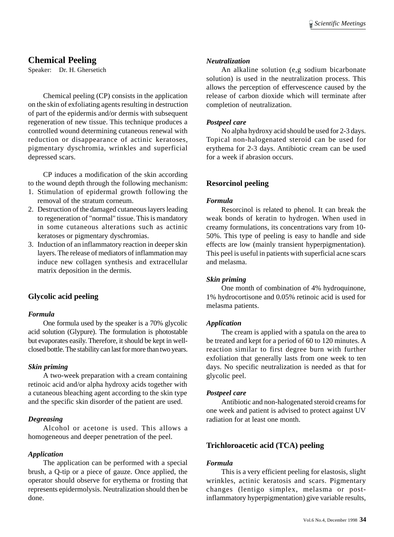# **Chemical Peeling**

Speaker: Dr. H. Ghersetich

Chemical peeling (CP) consists in the application on the skin of exfoliating agents resulting in destruction of part of the epidermis and/or dermis with subsequent regeneration of new tissue. This technique produces a controlled wound determining cutaneous renewal with reduction or disappearance of actinic keratoses, pigmentary dyschromia, wrinkles and superficial depressed scars.

CP induces a modification of the skin according to the wound depth through the following mechanism:

- 1. Stimulation of epidermal growth following the removal of the stratum corneum.
- 2. Destruction of the damaged cutaneous layers leading to regeneration of "normal" tissue. This is mandatory in some cutaneous alterations such as actinic keratoses or pigmentary dyschromias.
- 3. Induction of an inflammatory reaction in deeper skin layers. The release of mediators of inflammation may induce new collagen synthesis and extracellular matrix deposition in the dermis.

# **Glycolic acid peeling**

#### *Formula*

One formula used by the speaker is a 70% glycolic acid solution (Glypure). The formulation is photostable but evaporates easily. Therefore, it should be kept in wellclosed bottle. The stability can last for more than two years.

### *Skin priming*

A two-week preparation with a cream containing retinoic acid and/or alpha hydroxy acids together with a cutaneous bleaching agent according to the skin type and the specific skin disorder of the patient are used.

### *Degreasing*

Alcohol or acetone is used. This allows a homogeneous and deeper penetration of the peel.

### *Application*

The application can be performed with a special brush, a Q-tip or a piece of gauze. Once applied, the operator should observe for erythema or frosting that represents epidermolysis. Neutralization should then be done.

#### *Neutralization*

An alkaline solution (e,g sodium bicarbonate solution) is used in the neutralization process. This allows the perception of effervescence caused by the release of carbon dioxide which will terminate after completion of neutralization.

#### *Postpeel care*

No alpha hydroxy acid should be used for 2-3 days. Topical non-halogenated steroid can be used for erythema for 2-3 days. Antibiotic cream can be used for a week if abrasion occurs.

## **Resorcinol peeling**

#### *Formula*

Resorcinol is related to phenol. It can break the weak bonds of keratin to hydrogen. When used in creamy formulations, its concentrations vary from 10- 50%. This type of peeling is easy to handle and side effects are low (mainly transient hyperpigmentation). This peel is useful in patients with superficial acne scars and melasma.

#### *Skin priming*

One month of combination of 4% hydroquinone, 1% hydrocortisone and 0.05% retinoic acid is used for melasma patients.

#### *Application*

The cream is applied with a spatula on the area to be treated and kept for a period of 60 to 120 minutes. A reaction similar to first degree burn with further exfoliation that generally lasts from one week to ten days. No specific neutralization is needed as that for glycolic peel.

#### *Postpeel care*

Antibiotic and non-halogenated steroid creams for one week and patient is advised to protect against UV radiation for at least one month.

### **Trichloroacetic acid (TCA) peeling**

### *Formula*

This is a very efficient peeling for elastosis, slight wrinkles, actinic keratosis and scars. Pigmentary changes (lentigo simplex, melasma or postinflammatory hyperpigmentation) give variable results,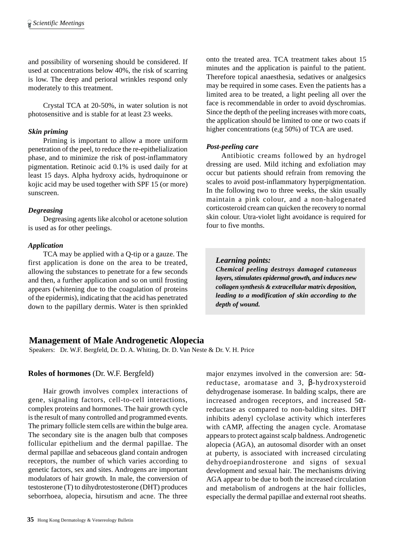and possibility of worsening should be considered. If used at concentrations below 40%, the risk of scarring is low. The deep and perioral wrinkles respond only moderately to this treatment.

Crystal TCA at 20-50%, in water solution is not photosensitive and is stable for at least 23 weeks.

### *Skin priming*

Priming is important to allow a more uniform penetration of the peel, to reduce the re-epithelialization phase, and to minimize the risk of post-inflammatory pigmentation. Retinoic acid 0.1% is used daily for at least 15 days. Alpha hydroxy acids, hydroquinone or kojic acid may be used together with SPF 15 (or more) sunscreen.

## *Degreasing*

Degreasing agents like alcohol or acetone solution is used as for other peelings.

## *Application*

TCA may be applied with a Q-tip or a gauze. The first application is done on the area to be treated, allowing the substances to penetrate for a few seconds and then, a further application and so on until frosting appears (whitening due to the coagulation of proteins of the epidermis), indicating that the acid has penetrated down to the papillary dermis. Water is then sprinkled onto the treated area. TCA treatment takes about 15 minutes and the application is painful to the patient. Therefore topical anaesthesia, sedatives or analgesics may be required in some cases. Even the patients has a limited area to be treated, a light peeling all over the face is recommendable in order to avoid dyschromias. Since the depth of the peeling increases with more coats, the application should be limited to one or two coats if higher concentrations (e,g 50%) of TCA are used.

## *Post-peeling care*

Antibiotic creams followed by an hydrogel dressing are used. Mild itching and exfoliation may occur but patients should refrain from removing the scales to avoid post-inflammatory hyperpigmentation. In the following two to three weeks, the skin usually maintain a pink colour, and a non-halogenated corticosteroid cream can quicken the recovery to normal skin colour. Utra-violet light avoidance is required for four to five months.

### *Learning points:*

*Chemical peeling destroys damaged cutaneous layers, stimulates epidermal growth, and induces new collagen synthesis & extracellular matrix deposition, leading to a modification of skin according to the depth of wound.*

# **Management of Male Androgenetic Alopecia**

Speakers: Dr. W.F. Bergfeld, Dr. D. A. Whiting, Dr. D. Van Neste & Dr. V. H. Price

# **Roles of hormones** (Dr. W.F. Bergfeld)

Hair growth involves complex interactions of gene, signaling factors, cell-to-cell interactions, complex proteins and hormones. The hair growth cycle is the result of many controlled and programmed events. The primary follicle stem cells are within the bulge area. The secondary site is the anagen bulb that composes follicular epithelium and the dermal papillae. The dermal papillae and sebaceous gland contain androgen receptors, the number of which varies according to genetic factors, sex and sites. Androgens are important modulators of hair growth. In male, the conversion of testosterone (T) to dihydrotestosterone (DHT) produces seborrhoea, alopecia, hirsutism and acne. The three

major enzymes involved in the conversion are:  $5\alpha$ reductase, aromatase and 3, β-hydroxysteroid dehydrogenase isomerase. In balding scalps, there are increased androgen receptors, and increased  $5\alpha$ reductase as compared to non-balding sites. DHT inhibits adenyl cyclolase activity which interferes with cAMP, affecting the anagen cycle. Aromatase appears to protect against scalp baldness. Androgenetic alopecia (AGA), an autosomal disorder with an onset at puberty, is associated with increased circulating dehydroepiandrosterone and signs of sexual development and sexual hair. The mechanisms driving AGA appear to be due to both the increased circulation and metabolism of androgens at the hair follicles, especially the dermal papillae and external root sheaths.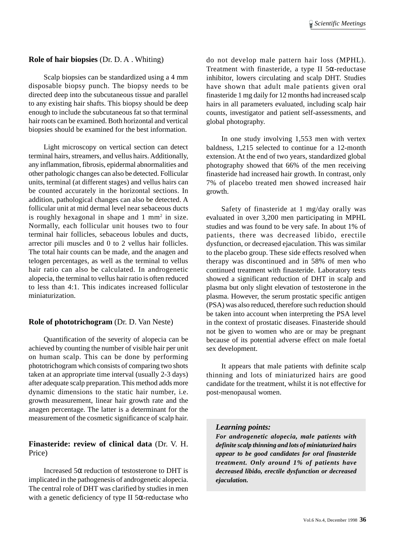#### **Role of hair biopsies** (Dr. D. A . Whiting)

Scalp biopsies can be standardized using a 4 mm disposable biopsy punch. The biopsy needs to be directed deep into the subcutaneous tissue and parallel to any existing hair shafts. This biopsy should be deep enough to include the subcutaneous fat so that terminal hair roots can be examined. Both horizontal and vertical biopsies should be examined for the best information.

Light microscopy on vertical section can detect terminal hairs, streamers, and vellus hairs. Additionally, any inflammation, fibrosis, epidermal abnormalities and other pathologic changes can also be detected. Follicular units, terminal (at different stages) and vellus hairs can be counted accurately in the horizontal sections. In addition, pathological changes can also be detected. A follicular unit at mid dermal level near sebaceous ducts is roughly hexagonal in shape and  $1 \text{ mm}^2$  in size. Normally, each follicular unit houses two to four terminal hair follicles, sebaceous lobules and ducts, arrector pili muscles and 0 to 2 vellus hair follicles. The total hair counts can be made, and the anagen and telogen percentages, as well as the terminal to vellus hair ratio can also be calculated. In androgenetic alopecia, the terminal to vellus hair ratio is often reduced to less than 4:1. This indicates increased follicular miniaturization.

#### **Role of phototrichogram** (Dr. D. Van Neste)

Quantification of the severity of alopecia can be achieved by counting the number of visible hair per unit on human scalp. This can be done by performing phototrichogram which consists of comparing two shots taken at an appropriate time interval (usually 2-3 days) after adequate scalp preparation. This method adds more dynamic dimensions to the static hair number, i.e. growth measurement, linear hair growth rate and the anagen percentage. The latter is a determinant for the measurement of the cosmetic significance of scalp hair.

#### **Finasteride: review of clinical data** (Dr. V. H. Price)

Increased  $5\alpha$  reduction of testosterone to DHT is implicated in the pathogenesis of androgenetic alopecia. The central role of DHT was clarified by studies in men with a genetic deficiency of type II  $5\alpha$ -reductase who

do not develop male pattern hair loss (MPHL). Treatment with finasteride, a type II  $5\alpha$ -reductase inhibitor, lowers circulating and scalp DHT. Studies have shown that adult male patients given oral finasteride 1 mg daily for 12 months had increased scalp hairs in all parameters evaluated, including scalp hair counts, investigator and patient self-assessments, and global photography.

In one study involving 1,553 men with vertex baldness, 1,215 selected to continue for a 12-month extension. At the end of two years, standardized global photography showed that 66% of the men receiving finasteride had increased hair growth. In contrast, only 7% of placebo treated men showed increased hair growth.

Safety of finasteride at 1 mg/day orally was evaluated in over 3,200 men participating in MPHL studies and was found to be very safe. In about 1% of patients, there was decreased libido, erectile dysfunction, or decreased ejaculation. This was similar to the placebo group. These side effects resolved when therapy was discontinued and in 58% of men who continued treatment with finasteride. Laboratory tests showed a significant reduction of DHT in scalp and plasma but only slight elevation of testosterone in the plasma. However, the serum prostatic specific antigen (PSA) was also reduced, therefore such reduction should be taken into account when interpreting the PSA level in the context of prostatic diseases. Finasteride should not be given to women who are or may be pregnant because of its potential adverse effect on male foetal sex development.

It appears that male patients with definite scalp thinning and lots of miniaturized hairs are good candidate for the treatment, whilst it is not effective for post-menopausal women.

#### *Learning points:*

*For androgenetic alopecia, male patients with definite scalp thinning and lots of miniaturized hairs appear to be good candidates for oral finasteride treatment. Only around 1% of patients have decreased libido, erectile dysfunction or decreased ejaculation.*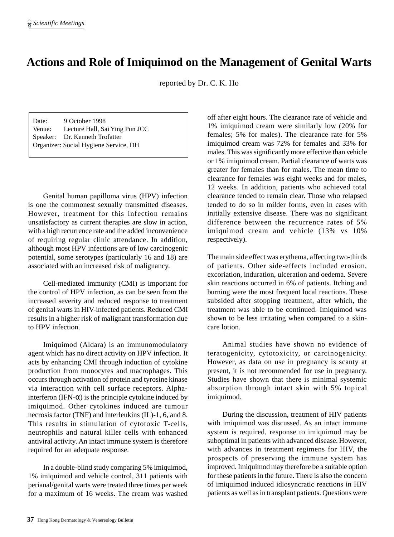# **Actions and Role of Imiquimod on the Management of Genital Warts**

reported by Dr. C. K. Ho

Date: 9 October 1998 Venue: Lecture Hall, Sai Ying Pun JCC Speaker: Dr. Kenneth Trofatter Organizer: Social Hygiene Service, DH

Genital human papilloma virus (HPV) infection is one the commonest sexually transmitted diseases. However, treatment for this infection remains unsatisfactory as current therapies are slow in action, with a high recurrence rate and the added inconvenience of requiring regular clinic attendance. In addition, although most HPV infections are of low carcinogenic potential, some serotypes (particularly 16 and 18) are associated with an increased risk of malignancy.

Cell-mediated immunity (CMI) is important for the control of HPV infection, as can be seen from the increased severity and reduced response to treatment of genital warts in HIV-infected patients. Reduced CMI results in a higher risk of malignant transformation due to HPV infection.

Imiquimod (Aldara) is an immunomodulatory agent which has no direct activity on HPV infection. It acts by enhancing CMI through induction of cytokine production from monocytes and macrophages. This occurs through activation of protein and tyrosine kinase via interaction with cell surface receptors. Alphainterferon (IFN- $\alpha$ ) is the principle cytokine induced by imiquimod. Other cytokines induced are tumour necrosis factor (TNF) and interleukins (IL)-1, 6, and 8. This results in stimulation of cytotoxic T-cells, neutrophils and natural killer cells with enhanced antiviral activity. An intact immune system is therefore required for an adequate response.

In a double-blind study comparing 5% imiquimod, 1% imiquimod and vehicle control, 311 patients with perianal/genital warts were treated three times per week for a maximum of 16 weeks. The cream was washed

off after eight hours. The clearance rate of vehicle and 1% imiquimod cream were similarly low (20% for females; 5% for males). The clearance rate for 5% imiquimod cream was 72% for females and 33% for males. This was significantly more effective than vehicle or 1% imiquimod cream. Partial clearance of warts was greater for females than for males. The mean time to clearance for females was eight weeks and for males, 12 weeks. In addition, patients who achieved total clearance tended to remain clear. Those who relapsed tended to do so in milder forms, even in cases with initially extensive disease. There was no significant difference between the recurrence rates of 5% imiquimod cream and vehicle (13% vs 10% respectively).

The main side effect was erythema, affecting two-thirds of patients. Other side-effects included erosion, excoriation, induration, ulceration and oedema. Severe skin reactions occurred in 6% of patients. Itching and burning were the most frequent local reactions. These subsided after stopping treatment, after which, the treatment was able to be continued. Imiquimod was shown to be less irritating when compared to a skincare lotion.

Animal studies have shown no evidence of teratogenicity, cytotoxicity, or carcinogenicity. However, as data on use in pregnancy is scanty at present, it is not recommended for use in pregnancy. Studies have shown that there is minimal systemic absorption through intact skin with 5% topical imiquimod.

During the discussion, treatment of HIV patients with imiquimod was discussed. As an intact immune system is required, response to imiquimod may be suboptimal in patients with advanced disease. However, with advances in treatment regimens for HIV, the prospects of preserving the immune system has improved. Imiquimod may therefore be a suitable option for these patients in the future. There is also the concern of imiquimod induced idiosyncratic reactions in HIV patients as well as in transplant patients. Questions were